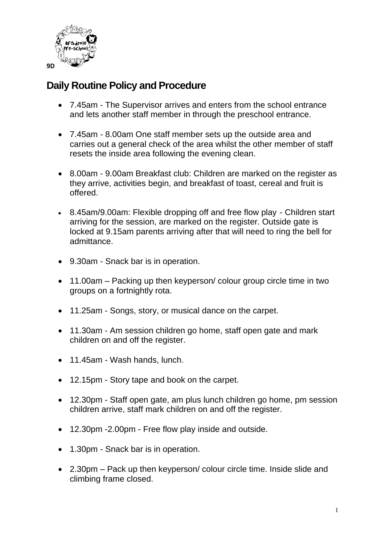

## **Daily Routine Policy and Procedure**

- 7.45am The Supervisor arrives and enters from the school entrance and lets another staff member in through the preschool entrance.
- 7.45am 8.00am One staff member sets up the outside area and carries out a general check of the area whilst the other member of staff resets the inside area following the evening clean.
- 8.00am 9.00am Breakfast club: Children are marked on the register as they arrive, activities begin, and breakfast of toast, cereal and fruit is offered.
- 8.45am/9.00am: Flexible dropping off and free flow play Children start arriving for the session, are marked on the register. Outside gate is locked at 9.15am parents arriving after that will need to ring the bell for admittance.
- 9.30am Snack bar is in operation.
- 11.00am Packing up then keyperson/ colour group circle time in two groups on a fortnightly rota.
- 11.25am Songs, story, or musical dance on the carpet.
- 11.30am Am session children go home, staff open gate and mark children on and off the register.
- 11.45am Wash hands, lunch.
- 12.15pm Story tape and book on the carpet.
- 12.30pm Staff open gate, am plus lunch children go home, pm session children arrive, staff mark children on and off the register.
- 12.30pm -2.00pm Free flow play inside and outside.
- 1.30pm Snack bar is in operation.
- 2.30pm Pack up then keyperson/ colour circle time. Inside slide and climbing frame closed.